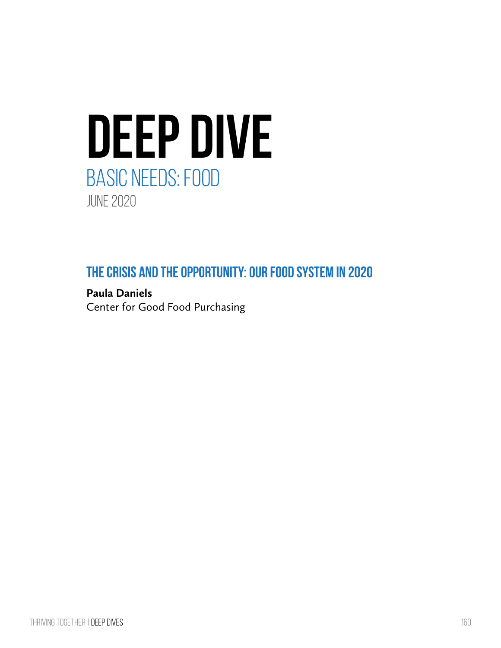

**The crisis and the Opportunity: Our food system in 2020**

**Paula Daniels** Center for Good Food Purchasing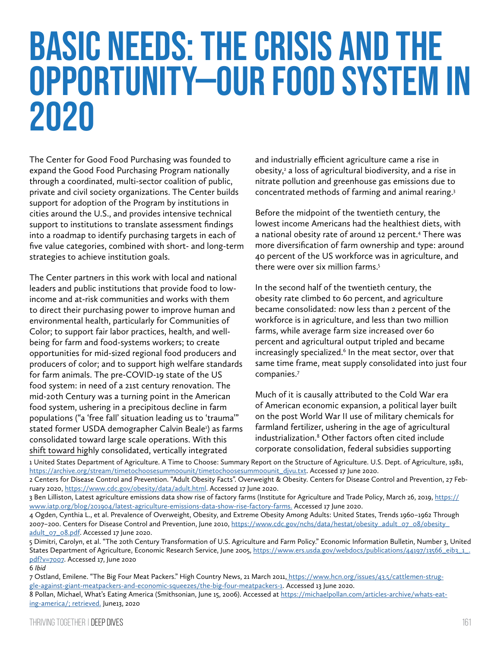# Basic Needs: the crisis and the opportunity—our food system in 2020

The Center for Good Food Purchasing was founded to expand the Good Food Purchasing Program nationally through a coordinated, multi-sector coalition of public, private and civil society organizations. The Center builds support for adoption of the Program by institutions in cities around the U.S., and provides intensive technical support to institutions to translate assessment findings into a roadmap to identify purchasing targets in each of five value categories, combined with short- and long-term strategies to achieve institution goals.

The Center partners in this work with local and national leaders and public institutions that provide food to lowincome and at-risk communities and works with them to direct their purchasing power to improve human and environmental health, particularly for Communities of Color; to support fair labor practices, health, and wellbeing for farm and food-systems workers; to create opportunities for mid-sized regional food producers and producers of color; and to support high welfare standards for farm animals. The pre-COVID-19 state of the US food system: in need of a 21st century renovation. The mid-20th Century was a turning point in the American food system, ushering in a precipitous decline in farm populations ("a 'free fall' situation leading us to 'trauma'" stated former USDA demographer Calvin Beale<sup>1</sup>) as farms consolidated toward large scale operations. With this shift toward highly consolidated, vertically integrated

and industrially efficient agriculture came a rise in obesity,<sup>2</sup> a loss of agricultural biodiversity, and a rise in nitrate pollution and greenhouse gas emissions due to concentrated methods of farming and animal rearing.3

Before the midpoint of the twentieth century, the lowest income Americans had the healthiest diets, with a national obesity rate of around 12 percent.4 There was more diversification of farm ownership and type: around 40 percent of the US workforce was in agriculture, and there were over six million farms.<sup>5</sup>

In the second half of the twentieth century, the obesity rate climbed to 60 percent, and agriculture became consolidated: now less than 2 percent of the workforce is in agriculture, and less than two million farms, while average farm size increased over 60 percent and agricultural output tripled and became increasingly specialized.<sup>6</sup> In the meat sector, over that same time frame, meat supply consolidated into just four companies.7

Much of it is causally attributed to the Cold War era of American economic expansion, a political layer built on the post World War II use of military chemicals for farmland fertilizer, ushering in the age of agricultural industrialization.8 Other factors often cited include corporate consolidation, federal subsidies supporting

1 United States Department of Agriculture. A Time to Choose: Summary Report on the Structure of Agriculture. U.S. Dept. of Agriculture, 1981, [https://archive.org/stream/timetochoosesumm00unit/timetochoosesumm00unit\\_djvu.txt.](https://archive.org/stream/timetochoosesumm00unit/timetochoosesumm00unit_djvu.txt) Accessed 17 June 2020.

<sup>2</sup> Centers for Disease Control and Prevention. "Adult Obesity Facts". Overweight & Obesity. Centers for Disease Control and Prevention, 27 February 2020,<https://www.cdc.gov/obesity/data/adult.html>. Accessed 17 June 2020.

<sup>3</sup> Ben Lilliston, Latest agriculture emissions data show rise of factory farms (Institute for Agriculture and Trade Policy, March 26, 2019, [https://](https://www.iatp.org/blog/201904/latest-agriculture-emissions-data-show-rise-factory-farms) [www.iatp.org/blog/201904/latest-agriculture-emissions-data-show-rise-factory-farms](https://www.iatp.org/blog/201904/latest-agriculture-emissions-data-show-rise-factory-farms). Accessed 17 June 2020.

<sup>4</sup> Ogden, Cynthia L., et al. Prevalence of Overweight, Obesity, and Extreme Obesity Among Adults: United States, Trends 1960–1962 Through 2007-200. Centers for Disease Control and Prevention, June 2010, [https://www.cdc.gov/nchs/data/hestat/obesity\\_adult\\_07\\_08/obesity\\_](https://www.cdc.gov/nchs/data/hestat/obesity_adult_07_08/obesity_adult_07_08.pdf) [adult\\_07\\_08.pdf.](https://www.cdc.gov/nchs/data/hestat/obesity_adult_07_08/obesity_adult_07_08.pdf) Accessed 17 June 2020.

<sup>5</sup> Dimitri, Carolyn, et al. "The 20th Century Transformation of U.S. Agriculture and Farm Policy." Economic Information Bulletin, Number 3, United States Department of Agriculture, Economic Research Service, June 2005, [https://www.ers.usda.gov/webdocs/publications/44197/13566\\_eib3\\_1\\_.](https://www.ers.usda.gov/webdocs/publications/44197/13566_eib3_1_.pdf?v=7007) [pdf?v=7007](https://www.ers.usda.gov/webdocs/publications/44197/13566_eib3_1_.pdf?v=7007). Accessed 17, June 2020

<sup>6</sup> *Ibid*

<sup>7</sup> Ostland, Emilene. "The Big Four Meat Packers." High Country News, 21 March 2011, [https://www.hcn.org/issues/43.5/cattlemen-strug]( https://www.hcn.org/issues/43.5/cattlemen-struggle-against-giant-meatpackers-and-economic-squeezes/the-big-four-meatpackers-1)[gle-against-giant-meatpackers-and-economic-squeezes/the-big-four-meatpackers-1.]( https://www.hcn.org/issues/43.5/cattlemen-struggle-against-giant-meatpackers-and-economic-squeezes/the-big-four-meatpackers-1) Accessed 13 June 2020.

<sup>8</sup> Pollan, Michael, What's Eating America (Smithsonian, June 15, 2006). Accessed at [https://michaelpollan.com/articles-archive/whats-eat](https://michaelpollan.com/articles-archive/whats-eating-america/; retrieved)[ing-america/; retrieved.](https://michaelpollan.com/articles-archive/whats-eating-america/; retrieved) June13, 2020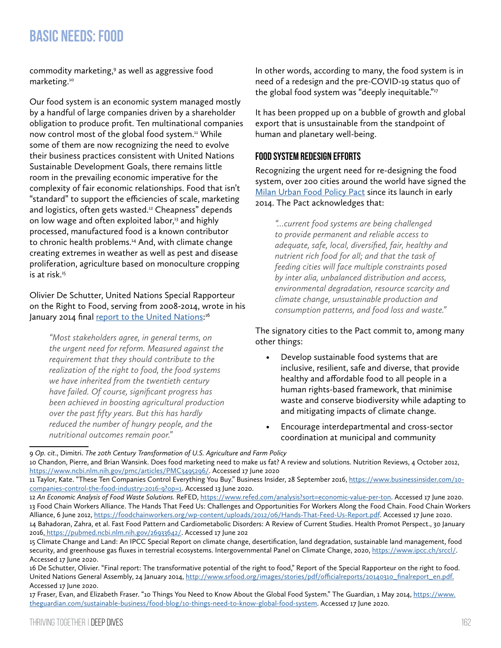commodity marketing,<sup>9</sup> as well as aggressive food marketing.10

Our food system is an economic system managed mostly by a handful of large companies driven by a shareholder obligation to produce profit. Ten multinational companies now control most of the global food system.<sup>11</sup> While some of them are now recognizing the need to evolve their business practices consistent with United Nations Sustainable Development Goals, there remains little room in the prevailing economic imperative for the complexity of fair economic relationships. Food that isn't "standard" to support the efficiencies of scale, marketing and logistics, often gets wasted.<sup>12</sup> Cheapness" depends on low wage and often exploited labor,<sup>13</sup> and highly processed, manufactured food is a known contributor to chronic health problems.<sup>14</sup> And, with climate change creating extremes in weather as well as pest and disease proliferation, agriculture based on monoculture cropping is at risk.<sup>15</sup>

Olivier De Schutter, United Nations Special Rapporteur on the Right to Food, serving from 2008-2014, wrote in his January 2014 final <u>report to the United Nations</u>:<sup>16</sup>

*"Most stakeholders agree, in general terms, on the urgent need for reform. Measured against the requirement that they should contribute to the realization of the right to food, the food systems we have inherited from the twentieth century have failed. Of course, significant progress has been achieved in boosting agricultural production over the past fifty years. But this has hardly reduced the number of hungry people, and the nutritional outcomes remain poor."*

In other words, according to many, the food system is in need of a redesign and the pre-COVID-19 status quo of the global food system was "deeply inequitable."<sup>17</sup>

It has been propped up on a bubble of growth and global export that is unsustainable from the standpoint of human and planetary well-being.

#### **Food system redesign efforts**

Recognizing the urgent need for re-designing the food system, over 200 cities around the world have signed the [Milan Urban Food Policy Pact](http://www.milanurbanfoodpolicypact.org/text/) since its launch in early 2014. The Pact acknowledges that:

*"…current food systems are being challenged to provide permanent and reliable access to adequate, safe, local, diversified, fair, healthy and nutrient rich food for all; and that the task of feeding cities will face multiple constraints posed by inter alia, unbalanced distribution and access, environmental degradation, resource scarcity and climate change, unsustainable production and consumption patterns, and food loss and waste."*

The signatory cities to the Pact commit to, among many other things:

- Develop sustainable food systems that are inclusive, resilient, safe and diverse, that provide healthy and affordable food to all people in a human rights-based framework, that minimise waste and conserve biodiversity while adapting to and mitigating impacts of climate change.
- Encourage interdepartmental and cross-sector coordination at municipal and community

<sup>9</sup> *Op. cit*., Dimitri. *The 20th Century Transformation of U.S. Agriculture and Farm Policy* 10 Chandon, Pierre, and Brian Wansink. Does food marketing need to make us fat? A review and solutions. Nutrition Reviews, 4 October 2012, <https://www.ncbi.nlm.nih.gov/pmc/articles/PMC3495296/>. Accessed 17 June 2020

<sup>11</sup> Taylor, Kate. "These Ten Companies Control Everything You Buy." Business Insider, 28 September 2016, [https://www.businessinsider.com/10](https://www.businessinsider.com/10-companies-control-the-food-industry-2016-9?op=1) [companies-control-the-food-industry-2016-9?op=1](https://www.businessinsider.com/10-companies-control-the-food-industry-2016-9?op=1). Accessed 13 June 2020.

<sup>12</sup> *An Economic Analysis of Food Waste Solutions.* ReFED,<https://www.refed.com/analysis?sort=economic-value-per-ton>. Accessed 17 June 2020. 13 Food Chain Workers Alliance. The Hands That Feed Us: Challenges and Opportunities For Workers Along the Food Chain. Food Chain Workers Alliance, 6 June 2012,<https://foodchainworkers.org/wp-content/uploads/2012/06/Hands-That-Feed-Us-Report.pdf>. Accessed 17 June 2020. 14 Bahadoran, Zahra, et al. Fast Food Pattern and Cardiometabolic Disorders: A Review of Current Studies. Health Promot Perspect., 30 January 2016, [https://pubmed.ncbi.nlm.nih.gov/26933642/.]( https://pubmed.ncbi.nlm.nih.gov/26933642/) Accessed 17 June 202

<sup>15</sup> Climate Change and Land: An IPCC Special Report on climate change, desertification, land degradation, sustainable land management, food security, and greenhouse gas fluxes in terrestrial ecosystems. Intergovernmental Panel on Climate Change, 2020, <https://www.ipcc.ch/srccl/>. Accessed 17 June 2020.

<sup>16</sup> De Schutter, Olivier. "Final report: The transformative potential of the right to food," Report of the Special Rapporteur on the right to food. United Nations General Assembly, 24 January 2014, [http://www.srfood.org/images/stories/pdf/officialreports/20140310\\_finalreport\\_en.pdf.](http://www.srfood.org/images/stories/pdf/officialreports/20140310_finalreport_en.pdf.) Accessed 17 June 2020.

<sup>17</sup> Fraser, Evan, and Elizabeth Fraser. "10 Things You Need to Know About the Global Food System." The Guardian, 1 May 2014, [https://www.](https://www.theguardian.com/sustainable-business/food-blog/10-things-need-to-know-global-food-system) [theguardian.com/sustainable-business/food-blog/10-things-need-to-know-global-food-system.](https://www.theguardian.com/sustainable-business/food-blog/10-things-need-to-know-global-food-system) Accessed 17 June 2020.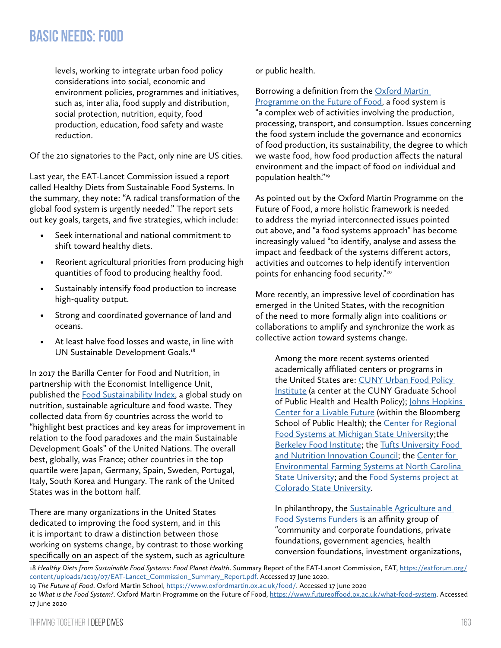levels, working to integrate urban food policy considerations into social, economic and environment policies, programmes and initiatives, such as, inter alia, food supply and distribution, social protection, nutrition, equity, food production, education, food safety and waste reduction.

Of the 210 signatories to the Pact, only nine are US cities.

Last year, the EAT-Lancet Commission issued a report called Healthy Diets from Sustainable Food Systems. In the summary, they note: "A radical transformation of the global food system is urgently needed." The report sets out key goals, targets, and five strategies, which include:

- Seek international and national commitment to shift toward healthy diets.
- Reorient agricultural priorities from producing high quantities of food to producing healthy food.
- Sustainably intensify food production to increase high-quality output.
- Strong and coordinated governance of land and oceans.
- At least halve food losses and waste, in line with UN Sustainable Development Goals.<sup>18</sup>

In 2017 the Barilla Center for Food and Nutrition, in partnership with the Economist Intelligence Unit, published the **Food Sustainability Index**, a global study on nutrition, sustainable agriculture and food waste. They collected data from 67 countries across the world to "highlight best practices and key areas for improvement in relation to the food paradoxes and the main Sustainable Development Goals" of the United Nations. The overall best, globally, was France; other countries in the top quartile were Japan, Germany, Spain, Sweden, Portugal, Italy, South Korea and Hungary. The rank of the United States was in the bottom half.

There are many organizations in the United States dedicated to improving the food system, and in this it is important to draw a distinction between those working on systems change, by contrast to those working specifically on an aspect of the system, such as agriculture or public health.

Borrowing a definition from the [Oxford Martin](https://www.oxfordmartin.ox.ac.uk/food/)  [Programme on the Future of Food,](https://www.oxfordmartin.ox.ac.uk/food/) a food system is "a complex web of activities involving the production, processing, transport, and consumption. Issues concerning the food system include the governance and economics of food production, its sustainability, the degree to which we waste food, how food production affects the natural environment and the impact of food on individual and population health."19

As pointed out by the Oxford Martin Programme on the Future of Food, a more holistic framework is needed to address the myriad interconnected issues pointed out above, and "a food systems approach" has become increasingly valued "to identify, analyse and assess the impact and feedback of the systems different actors, activities and outcomes to help identify intervention points for enhancing food security."20

More recently, an impressive level of coordination has emerged in the United States, with the recognition of the need to more formally align into coalitions or collaborations to amplify and synchronize the work as collective action toward systems change.

Among the more recent systems oriented academically affiliated centers or programs in the United States are: [CUNY Urban Food Policy](https://www.cunyurbanfoodpolicy.org/)  [Institute](https://www.cunyurbanfoodpolicy.org/) (a center at the CUNY Graduate School of Public Health and Health Policy); [Johns Hopkins](https://clf.jhsph.edu/)  [Center for a Livable Future](https://clf.jhsph.edu/) (within the Bloomberg School of Public Health); the Center for Regional [Food Systems at Michigan State Universit](https://www.canr.msu.edu/foodsystems/index)y;the [Berkeley Food Institute;](https://food.berkeley.edu/) the [Tufts University Food](https://nutrition.tufts.edu/entrepreneurship/nutritioninnovation)  [and Nutrition Innovation Council;](https://nutrition.tufts.edu/entrepreneurship/nutritioninnovation) the [Center for](https://cefs.ncsu.edu/about-us/)  [Environmental Farming Systems at North Carolina](https://cefs.ncsu.edu/about-us/)  [State University;](https://cefs.ncsu.edu/about-us/) and the Food Systems project at [Colorado State University](https://foodsystems.colostate.edu/).

In philanthropy, the Sustainable Agriculture and [Food Systems Funders](http://www.safsf.org/) is an affinity group of "community and corporate foundations, private foundations, government agencies, health conversion foundations, investment organizations,

18 *Healthy Diets from Sustainable Food Systems: Food Planet Health*. Summary Report of the EAT-Lancet Commission, EAT, [https://eatforum.org/](https://eatforum.org/content/uploads/2019/07/EAT-Lancet_Commission_Summary_Report.pdf.) [content/uploads/2019/07/EAT-Lancet\\_Commission\\_Summary\\_Report.pdf.](https://eatforum.org/content/uploads/2019/07/EAT-Lancet_Commission_Summary_Report.pdf.) Accessed 17 June 2020.

<sup>19</sup> *The Future of Food*. Oxford Martin School, [https://www.oxfordmartin.ox.ac.uk/food/.](https://www.oxfordmartin.ox.ac.uk/food/) Accessed 17 June 2020 20 *What is the Food System?*. Oxford Martin Programme on the Future of Food, <https://www.futureoffood.ox.ac.uk/what-food-system>. Accessed

<sup>17</sup> June 2020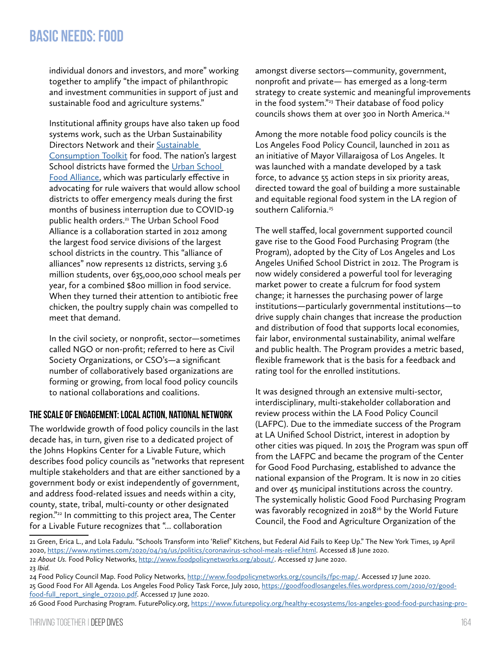individual donors and investors, and more" working together to amplify "the impact of philanthropic and investment communities in support of just and sustainable food and agriculture systems."

Institutional affinity groups have also taken up food systems work, such as the Urban Sustainability Directors Network and their [Sustainable](https://sustainableconsumption.usdn.org/initiatives-categories/food)  [Consumption Toolkit](https://sustainableconsumption.usdn.org/initiatives-categories/food) for food. The nation's largest School districts have formed the Urban School [Food Alliance](https://www.urbanschoolfoodalliance.org/), which was particularly effective in advocating for rule waivers that would allow school districts to offer emergency meals during the first months of business interruption due to COVID-19 public health orders.21 The Urban School Food Alliance is a collaboration started in 2012 among the largest food service divisions of the largest school districts in the country. This "alliance of alliances" now represents 12 districts, serving 3.6 million students, over 635,000,000 school meals per year, for a combined \$800 million in food service. When they turned their attention to antibiotic free chicken, the poultry supply chain was compelled to meet that demand.

In the civil society, or nonprofit, sector—sometimes called NGO or non-profit; referred to here as Civil Society Organizations, or CSO's—a significant number of collaboratively based organizations are forming or growing, from local food policy councils to national collaborations and coalitions.

#### **The scale of engagement: local action, national network**

The worldwide growth of food policy councils in the last decade has, in turn, given rise to a dedicated project of the Johns Hopkins Center for a Livable Future, which describes food policy councils as "networks that represent multiple stakeholders and that are either sanctioned by a government body or exist independently of government, and address food-related issues and needs within a city, county, state, tribal, multi-county or other designated region."22 In committing to this project area, The Center for a Livable Future recognizes that "... collaboration

amongst diverse sectors—community, government, nonprofit and private— has emerged as a long-term strategy to create systemic and meaningful improvements in the food system."<sup>23</sup> Their database of food policy councils shows them at over 300 in North America.24

Among the more notable food policy councils is the Los Angeles Food Policy Council, launched in 2011 as an initiative of Mayor Villaraigosa of Los Angeles. It was launched with a mandate developed by a task force, to advance 55 action steps in six priority areas, directed toward the goal of building a more sustainable and equitable regional food system in the LA region of southern California.<sup>25</sup>

The well staffed, local government supported council gave rise to the Good Food Purchasing Program (the Program), adopted by the City of Los Angeles and Los Angeles Unified School District in 2012. The Program is now widely considered a powerful tool for leveraging market power to create a fulcrum for food system change; it harnesses the purchasing power of large institutions—particularly governmental institutions—to drive supply chain changes that increase the production and distribution of food that supports local economies, fair labor, environmental sustainability, animal welfare and public health. The Program provides a metric based, flexible framework that is the basis for a feedback and rating tool for the enrolled institutions.

It was designed through an extensive multi-sector, interdisciplinary, multi-stakeholder collaboration and review process within the LA Food Policy Council (LAFPC). Due to the immediate success of the Program at LA Unified School District, interest in adoption by other cities was piqued. In 2015 the Program was spun off from the LAFPC and became the program of the Center for Good Food Purchasing, established to advance the national expansion of the Program. It is now in 20 cities and over 45 municipal institutions across the country. The systemically holistic Good Food Purchasing Program was favorably recognized in 2018<sup>26</sup> by the World Future Council, the Food and Agriculture Organization of the

[food-full\\_report\\_single\\_072010.pdf](https://goodfoodlosangeles.files.wordpress.com/2010/07/good-food-full_report_single_072010.pdf). Accessed 17 June 2020.

<sup>21</sup> Green, Erica L., and Lola Fadulu. "Schools Transform into 'Relief' Kitchens, but Federal Aid Fails to Keep Up." The New York Times, 19 April 2020,<https://www.nytimes.com/2020/04/19/us/politics/coronavirus-school-meals-relief.html>. Accessed 18 June 2020. 22 *About Us.* Food Policy Networks, <http://www.foodpolicynetworks.org/about/>. Accessed 17 June 2020. 23 *Ibid.*

<sup>24</sup> Food Policy Council Map. Food Policy Networks, [http://www.foodpolicynetworks.org/councils/fpc-map/.](http://www.foodpolicynetworks.org/councils/fpc-map/) Accessed 17 June 2020. 25 Good Food For All Agenda. Los Angeles Food Policy Task Force, July 2010, [https://goodfoodlosangeles.files.wordpress.com/2010/07/good-](https://goodfoodlosangeles.files.wordpress.com/2010/07/good-food-full_report_single_072010.pdf)

<sup>26</sup> Good Food Purchasing Program. [FuturePolicy.org,](http://FuturePolicy.org) [https://www.futurepolicy.org/healthy-ecosystems/los-angeles-good-food-purchasing-pro-](https://www.futurepolicy.org/healthy-ecosystems/los-angeles-good-food-purchasing-program/)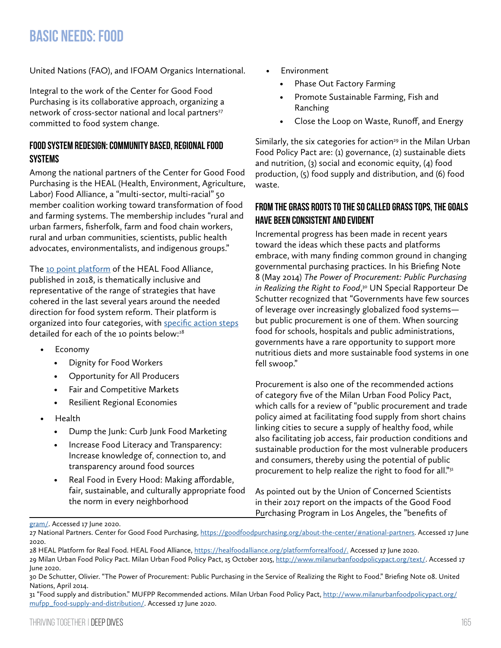United Nations (FAO), and IFOAM Organics International.

Integral to the work of the Center for Good Food Purchasing is its collaborative approach, organizing a network of cross-sector national and local partners<sup>27</sup> committed to food system change.

#### **Food system redesign: community based, regional food systems**

Among the national partners of the Center for Good Food Purchasing is the HEAL (Health, Environment, Agriculture, Labor) Food Alliance, a "multi-sector, multi-racial" 50 member coalition working toward transformation of food and farming systems. The membership includes "rural and urban farmers, fisherfolk, farm and food chain workers, rural and urban communities, scientists, public health advocates, environmentalists, and indigenous groups."

The [10 point platform](https://drive.google.com/file/d/1oWUuhG0aeOt3iBX7S9-lnrpyi3mDktIY/view) of the HEAL Food Alliance, published in 2018, is thematically inclusive and representative of the range of strategies that have cohered in the last several years around the needed direction for food system reform. Their platform is organized into four categories, with [specific action steps](https://healfoodalliance.org/platformforrealfood/) detailed for each of the 10 points below:<sup>28</sup>

- Economy
	- Dignity for Food Workers
	- Opportunity for All Producers
	- Fair and Competitive Markets
	- Resilient Regional Economies
- Health
	- Dump the Junk: Curb Junk Food Marketing
	- Increase Food Literacy and Transparency: Increase knowledge of, connection to, and transparency around food sources
	- Real Food in Every Hood: Making affordable, fair, sustainable, and culturally appropriate food the norm in every neighborhood
- **Environment** 
	- Phase Out Factory Farming
	- Promote Sustainable Farming, Fish and Ranching
	- Close the Loop on Waste, Runoff, and Energy

Similarly, the six categories for action<sup>29</sup> in the Milan Urban Food Policy Pact are: (1) governance, (2) sustainable diets and nutrition, (3) social and economic equity, (4) food production, (5) food supply and distribution, and (6) food waste.

#### **From the grass roots to the so called grass tops, the goals have been consistent and evident**

Incremental progress has been made in recent years toward the ideas which these pacts and platforms embrace, with many finding common ground in changing governmental purchasing practices. In his Briefing Note 8 (May 2014) *The Power of Procurement: Public Purchasing in Realizing the Right to Food*, 30 UN Special Rapporteur De Schutter recognized that "Governments have few sources of leverage over increasingly globalized food systems but public procurement is one of them. When sourcing food for schools, hospitals and public administrations, governments have a rare opportunity to support more nutritious diets and more sustainable food systems in one fell swoop."

Procurement is also one of the recommended actions of category five of the Milan Urban Food Policy Pact, which calls for a review of "public procurement and trade policy aimed at facilitating food supply from short chains linking cities to secure a supply of healthy food, while also facilitating job access, fair production conditions and sustainable production for the most vulnerable producers and consumers, thereby using the potential of public procurement to help realize the right to food for all."<sup>31</sup>

As pointed out by the Union of Concerned Scientists in their 2017 report on the impacts of the Good Food Purchasing Program in Los Angeles, the "benefits of

#### [gram/](https://www.futurepolicy.org/healthy-ecosystems/los-angeles-good-food-purchasing-program/). Accessed 17 June 2020.

<sup>27</sup> National Partners. Center for Good Food Purchasing, [https://goodfoodpurchasing.org/about-the-center/#national-partners.](https://goodfoodpurchasing.org/about-the-center/#national-partners) Accessed 17 June 2020.

<sup>28</sup> HEAL Platform for Real Food. HEAL Food Alliance, <https://healfoodalliance.org/platformforrealfood/.> Accessed 17 June 2020. 29 Milan Urban Food Policy Pact. Milan Urban Food Policy Pact, 15 October 2015,<http://www.milanurbanfoodpolicypact.org/text/>. Accessed 17 June 2020.

<sup>30</sup> De Schutter, Olivier. "The Power of Procurement: Public Purchasing in the Service of Realizing the Right to Food." Briefing Note 08. United Nations, April 2014.

<sup>31 &</sup>quot;Food supply and distribution." MUFPP Recommended actions. Milan Urban Food Policy Pact, [http://www.milanurbanfoodpolicypact.org/](http://www.milanurbanfoodpolicypact.org/mufpp_food-supply-and-distribution/) [mufpp\\_food-supply-and-distribution/](http://www.milanurbanfoodpolicypact.org/mufpp_food-supply-and-distribution/). Accessed 17 June 2020.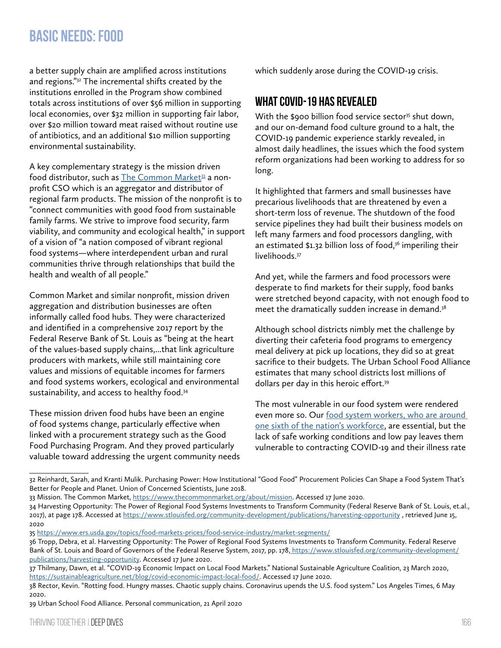a better supply chain are amplified across institutions and regions."32 The incremental shifts created by the institutions enrolled in the Program show combined totals across institutions of over \$56 million in supporting local economies, over \$32 million in supporting fair labor, over \$20 million toward meat raised without routine use of antibiotics, and an additional \$10 million supporting environmental sustainability.

A key complementary strategy is the mission driven food distributor, such as [The Common Market](https://www.thecommonmarket.org/)<sup>33</sup> a nonprofit CSO which is an aggregator and distributor of regional farm products. The mission of the nonprofit is to "connect communities with good food from sustainable family farms. We strive to improve food security, farm viability, and community and ecological health," in support of a vision of "a nation composed of vibrant regional food systems—where interdependent urban and rural communities thrive through relationships that build the health and wealth of all people."

Common Market and similar nonprofit, mission driven aggregation and distribution businesses are often informally called food hubs. They were characterized and identified in a comprehensive 2017 report by the Federal Reserve Bank of St. Louis as "being at the heart of the values-based supply chains,...that link agriculture producers with markets, while still maintaining core values and missions of equitable incomes for farmers and food systems workers, ecological and environmental sustainability, and access to healthy food.34

These mission driven food hubs have been an engine of food systems change, particularly effective when linked with a procurement strategy such as the Good Food Purchasing Program. And they proved particularly valuable toward addressing the urgent community needs which suddenly arose during the COVID-19 crisis.

## **What COVID-19 has revealed**

With the \$900 billion food service sector<sup>35</sup> shut down, and our on-demand food culture ground to a halt, the COVID-19 pandemic experience starkly revealed, in almost daily headlines, the issues which the food system reform organizations had been working to address for so long.

It highlighted that farmers and small businesses have precarious livelihoods that are threatened by even a short-term loss of revenue. The shutdown of the food service pipelines they had built their business models on left many farmers and food processors dangling, with an estimated  $$1.32$  billion loss of food,<sup>36</sup> imperiling their livelihoods.<sup>37</sup>

And yet, while the farmers and food processors were desperate to find markets for their supply, food banks were stretched beyond capacity, with not enough food to meet the dramatically sudden increase in demand.<sup>38</sup>

Although school districts nimbly met the challenge by diverting their cafeteria food programs to emergency meal delivery at pick up locations, they did so at great sacrifice to their budgets. The Urban School Food Alliance estimates that many school districts lost millions of dollars per day in this heroic effort.<sup>39</sup>

The most vulnerable in our food system were rendered even more so. Our [food system workers, who are around](https://foodchainworkers.org/wp-content/uploads/2012/06/Hands-That-Feed-Us-Report.pdf)  [one sixth of the nation's workforce,](https://foodchainworkers.org/wp-content/uploads/2012/06/Hands-That-Feed-Us-Report.pdf) are essential, but the lack of safe working conditions and low pay leaves them vulnerable to contracting COVID-19 and their illness rate

33 Mission. The Common Market,<https://www.thecommonmarket.org/about/mission>. Accessed 17 June 2020.

<sup>32</sup> Reinhardt, Sarah, and Kranti Mulik. Purchasing Power: How Institutional "Good Food" Procurement Policies Can Shape a Food System That's Better for People and Planet. Union of Concerned Scientists, June 2018.

<sup>34</sup> Harvesting Opportunity: The Power of Regional Food Systems Investments to Transform Community (Federal Reserve Bank of St. Louis, [et.al.](http://et.al), 2017), at page 178. Accessed at <https://www.stlouisfed.org/community-development/publications/harvesting-opportunity> , retrieved June 15, 2020

<sup>35</sup><https://www.ers.usda.gov/topics/food-markets-prices/food-service-industry/market-segments/>

<sup>36</sup> Tropp, Debra, et al. Harvesting Opportunity: The Power of Regional Food Systems Investments to Transform Community. Federal Reserve Bank of St. Louis and Board of Governors of the Federal Reserve System, 2017, pp. 178, [https://www.stlouisfed.org/community-development/]( https://www.stlouisfed.org/community-development/publications/harvesting-opportunity) [publications/harvesting-opportunity.]( https://www.stlouisfed.org/community-development/publications/harvesting-opportunity) Accessed 17 June 2020.

<sup>37</sup> Thilmany, Dawn, et al. "COVID-19 Economic Impact on Local Food Markets." National Sustainable Agriculture Coalition, 23 March 2020, <https://sustainableagriculture.net/blog/covid-economic-impact-local-food/>. Accessed 17 June 2020.

<sup>38</sup> Rector, Kevin. "Rotting food. Hungry masses. Chaotic supply chains. Coronavirus upends the U.S. food system." Los Angeles Times, 6 May 2020.

<sup>39</sup> Urban School Food Alliance. Personal communication, 21 April 2020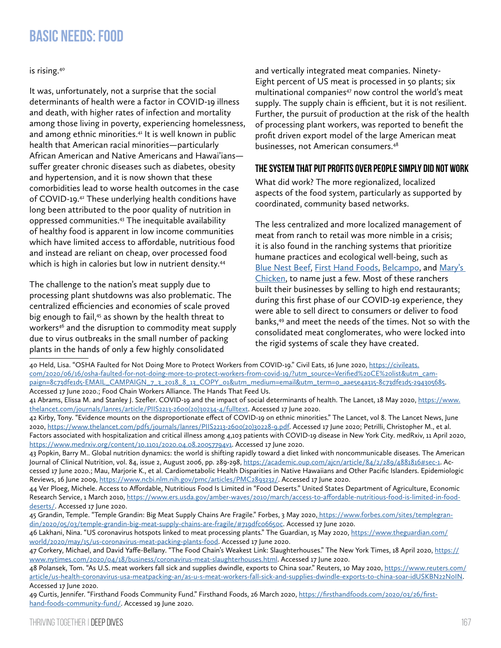is rising.40

It was, unfortunately, not a surprise that the social determinants of health were a factor in COVID-19 illness and death, with higher rates of infection and mortality among those living in poverty, experiencing homelessness, and among ethnic minorities.<sup>41</sup> It is well known in public health that American racial minorities—particularly African American and Native Americans and Hawai'ians suffer greater chronic diseases such as diabetes, obesity and hypertension, and it is now shown that these comorbidities lead to worse health outcomes in the case of COVID-19.42 These underlying health conditions have long been attributed to the poor quality of nutrition in oppressed communities.43 The inequitable availability of healthy food is apparent in low income communities which have limited access to affordable, nutritious food and instead are reliant on cheap, over processed food which is high in calories but low in nutrient density.<sup>44</sup>

The challenge to the nation's meat supply due to processing plant shutdowns was also problematic. The centralized efficiencies and economies of scale proved big enough to fail,<sup>45</sup> as shown by the health threat to workers<sup>46</sup> and the disruption to commodity meat supply due to virus outbreaks in the small number of packing plants in the hands of only a few highly consolidated

and vertically integrated meat companies. Ninety-Eight percent of US meat is processed in 50 plants; six multinational companies<sup>47</sup> now control the world's meat supply. The supply chain is efficient, but it is not resilient. Further, the pursuit of production at the risk of the health of processing plant workers, was reported to benefit the profit driven export model of the large American meat businesses, not American consumers.48

#### **The system that put profits over people simply did not work**

What did work? The more regionalized, localized aspects of the food system, particularly as supported by coordinated, community based networks.

The less centralized and more localized management of meat from ranch to retail was more nimble in a crisis; it is also found in the ranching systems that prioritize humane practices and ecological well-being, such as [Blue Nest Beef,](https://bluenestbeef.com/) [First Hand Foods](https://firsthandfoods.com/), [Belcampo](https://belcampo.com/), and [Mary's](http://www.maryschickens.com/)  [Chicken,](http://www.maryschickens.com/) to name just a few. Most of these ranchers built their businesses by selling to high end restaurants; during this first phase of our COVID-19 experience, they were able to sell direct to consumers or deliver to food banks,49 and meet the needs of the times. Not so with the consolidated meat conglomerates, who were locked into the rigid systems of scale they have created.

<sup>40</sup> Held, Lisa. "OSHA Faulted for Not Doing More to Protect Workers from COVID-19." Civil Eats, 16 June 2020, [https://civileats.](https://civileats.com/2020/06/16/osha-faulted-for-not-doing-more-to-protect-workers-from-covid-19/?utm_source=Verified%20CE%20list&utm_campaign=8c73dfe1d5-EMAIL_CAMPAIGN_7_3_2018_8_13_COPY_01&utm_medium=email&utm_term=0_aae5e4a315-8c73dfe1d5-294305685) [com/2020/06/16/osha-faulted-for-not-doing-more-to-protect-workers-from-covid-19/?utm\\_source=Verified%20CE%20list&utm\\_cam](https://civileats.com/2020/06/16/osha-faulted-for-not-doing-more-to-protect-workers-from-covid-19/?utm_source=Verified%20CE%20list&utm_campaign=8c73dfe1d5-EMAIL_CAMPAIGN_7_3_2018_8_13_COPY_01&utm_medium=email&utm_term=0_aae5e4a315-8c73dfe1d5-294305685)[paign=8c73dfe1d5-EMAIL\\_CAMPAIGN\\_7\\_3\\_2018\\_8\\_13\\_COPY\\_01&utm\\_medium=email&utm\\_term=0\\_aae5e4a315-8c73dfe1d5-294305685.](https://civileats.com/2020/06/16/osha-faulted-for-not-doing-more-to-protect-workers-from-covid-19/?utm_source=Verified%20CE%20list&utm_campaign=8c73dfe1d5-EMAIL_CAMPAIGN_7_3_2018_8_13_COPY_01&utm_medium=email&utm_term=0_aae5e4a315-8c73dfe1d5-294305685) Accessed 17 June 2020.; Food Chain Workers Alliance. The Hands That Feed Us.

<sup>41</sup> Abrams, Elissa M. and Stanley J. Szefler. COVID-19 and the impact of social determinants of health. The Lancet, 18 May 2020, [https://www.](https://www.thelancet.com/journals/lanres/article/PIIS2213-2600(20)30234-4/fulltext) [thelancet.com/journals/lanres/article/PIIS2213-2600\(20\)30234-4/fulltext](https://www.thelancet.com/journals/lanres/article/PIIS2213-2600(20)30234-4/fulltext). Accessed 17 June 2020.

<sup>42</sup> Kirby, Tony. "Evidence mounts on the disproportionate effect of COVID-19 on ethnic minorities." The Lancet, vol 8. The Lancet News, June 2020, [https://www.thelancet.com/pdfs/journals/lanres/PIIS2213-2600\(20\)30228-9.pdf.](https://www.thelancet.com/pdfs/journals/lanres/PIIS2213-2600(20)30228-9.pdf) Accessed 17 June 2020; Petrilli, Christopher M., et al. Factors associated with hospitalization and critical illness among 4,103 patients with COVID-19 disease in New York City. medRxiv, 11 April 2020, <https://www.medrxiv.org/content/10.1101/2020.04.08.20057794v1>. Accessed 17 June 2020.

<sup>43</sup> Popkin, Barry M.. Global nutrition dynamics: the world is shifting rapidly toward a diet linked with noncommunicable diseases. The American Journal of Clinical Nutrition, vol. 84, issue 2, August 2006, pp. 289-298, <https://academic.oup.com/ajcn/article/84/2/289/4881816#sec-1>. Accessed 17 June 2020.; Mau, Marjorie K., et al. Cardiometabolic Health Disparities in Native Hawaiians and Other Pacific Islanders. Epidemiologic Reviews, 16 June 2009, [https://www.ncbi.nlm.nih.gov/pmc/articles/PMC2893232/.](https://www.ncbi.nlm.nih.gov/pmc/articles/PMC2893232/) Accessed 17 June 2020.

<sup>44</sup> Ver Ploeg, Michele. Access to Affordable, Nutritious Food Is Limited in "Food Deserts." United States Department of Agriculture, Economic Research Service, 1 March 2010, [https://www.ers.usda.gov/amber-waves/2010/march/access-to-affordable-nutritious-food-is-limited-in-food](https://www.ers.usda.gov/amber-waves/2010/march/access-to-affordable-nutritious-food-is-limited-in-food-deserts/)[deserts/](https://www.ers.usda.gov/amber-waves/2010/march/access-to-affordable-nutritious-food-is-limited-in-food-deserts/). Accessed 17 June 2020.

<sup>45</sup> Grandin, Temple. "Temple Grandin: Big Meat Supply Chains Are Fragile." Forbes, 3 May 2020[, https://www.forbes.com/sites/templegran]( https://www.forbes.com/sites/templegrandin/2020/05/03/temple-grandin-big-meat-supply-chains-are-fragile/#719dfc06650c)[din/2020/05/03/temple-grandin-big-meat-supply-chains-are-fragile/#719dfc06650c.]( https://www.forbes.com/sites/templegrandin/2020/05/03/temple-grandin-big-meat-supply-chains-are-fragile/#719dfc06650c) Accessed 17 June 2020.

<sup>46</sup> Lakhani, Nina. "US coronavirus hotspots linked to meat processing plants." The Guardian, 15 May 2020, [https://www.theguardian.com/](https://www.theguardian.com/world/2020/may/15/us-coronavirus-meat-packing-plants-food) [world/2020/may/15/us-coronavirus-meat-packing-plants-food.](https://www.theguardian.com/world/2020/may/15/us-coronavirus-meat-packing-plants-food) Accessed 17 June 2020.

<sup>47</sup> Corkery, Michael, and David Yaffe-Bellany. "The Food Chain's Weakest Link: Slaughterhouses." The New York Times, 18 April 2020, [https://](https://www.nytimes.com/2020/04/18/business/coronavirus-meat-slaughterhouses.html) [www.nytimes.com/2020/04/18/business/coronavirus-meat-slaughterhouses.html](https://www.nytimes.com/2020/04/18/business/coronavirus-meat-slaughterhouses.html). Accessed 17 June 2020.

<sup>48</sup> Polansek, Tom. "As U.S. meat workers fall sick and supplies dwindle, exports to China soar." Reuters, 10 May 2020, [https://www.reuters.com/](https://www.reuters.com/article/us-health-coronavirus-usa-meatpacking-an/as-u-s-meat-workers-fall-sick-and-supplies-dwindle-exports-to-china-soar-idUSKBN22N0IN) [article/us-health-coronavirus-usa-meatpacking-an/as-u-s-meat-workers-fall-sick-and-supplies-dwindle-exports-to-china-soar-idUSKBN22N0IN](https://www.reuters.com/article/us-health-coronavirus-usa-meatpacking-an/as-u-s-meat-workers-fall-sick-and-supplies-dwindle-exports-to-china-soar-idUSKBN22N0IN). Accessed 17 June 2020.

<sup>49</sup> Curtis, Jennifer. "Firsthand Foods Community Fund." Firsthand Foods, 26 March 2020, [https://firsthandfoods.com/2020/03/26/first](https://firsthandfoods.com/2020/03/26/firsthand-foods-community-fund/)[hand-foods-community-fund/.](https://firsthandfoods.com/2020/03/26/firsthand-foods-community-fund/) Accessed 19 June 2020.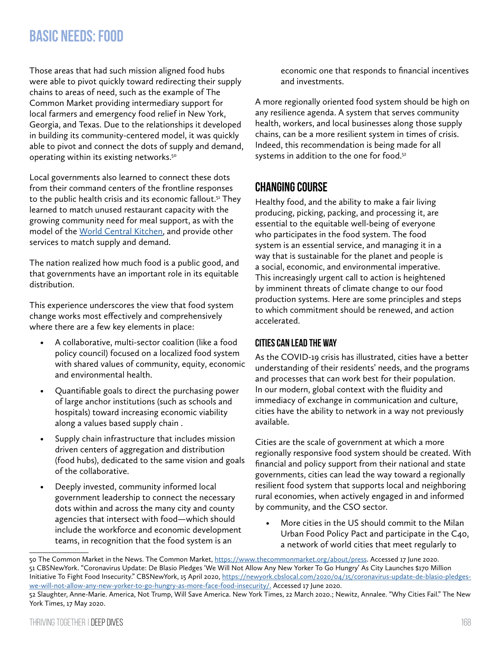Those areas that had such mission aligned food hubs were able to pivot quickly toward redirecting their supply chains to areas of need, such as the example of The Common Market providing intermediary support for local farmers and emergency food relief in New York, Georgia, and Texas. Due to the relationships it developed in building its community-centered model, it was quickly able to pivot and connect the dots of supply and demand, operating within its existing networks.<sup>50</sup>

Local governments also learned to connect these dots from their command centers of the frontline responses to the public health crisis and its economic fallout.<sup>51</sup> They learned to match unused restaurant capacity with the growing community need for meal support, as with the model of the [World Central Kitchen,](https://wck.org/) and provide other services to match supply and demand.

The nation realized how much food is a public good, and that governments have an important role in its equitable distribution.

This experience underscores the view that food system change works most effectively and comprehensively where there are a few key elements in place:

- A collaborative, multi-sector coalition (like a food policy council) focused on a localized food system with shared values of community, equity, economic and environmental health.
- Quantifiable goals to direct the purchasing power of large anchor institutions (such as schools and hospitals) toward increasing economic viability along a values based supply chain .
- Supply chain infrastructure that includes mission driven centers of aggregation and distribution (food hubs), dedicated to the same vision and goals of the collaborative.
- Deeply invested, community informed local government leadership to connect the necessary dots within and across the many city and county agencies that intersect with food—which should include the workforce and economic development teams, in recognition that the food system is an

economic one that responds to financial incentives and investments.

A more regionally oriented food system should be high on any resilience agenda. A system that serves community health, workers, and local businesses along those supply chains, can be a more resilient system in times of crisis. Indeed, this recommendation is being made for all systems in addition to the one for food.<sup>52</sup>

## **Changing Course**

Healthy food, and the ability to make a fair living producing, picking, packing, and processing it, are essential to the equitable well-being of everyone who participates in the food system. The food system is an essential service, and managing it in a way that is sustainable for the planet and people is a social, economic, and environmental imperative. This increasingly urgent call to action is heightened by imminent threats of climate change to our food production systems. Here are some principles and steps to which commitment should be renewed, and action accelerated.

#### **Cities can lead the way**

As the COVID-19 crisis has illustrated, cities have a better understanding of their residents' needs, and the programs and processes that can work best for their population. In our modern, global context with the fluidity and immediacy of exchange in communication and culture, cities have the ability to network in a way not previously available.

Cities are the scale of government at which a more regionally responsive food system should be created. With financial and policy support from their national and state governments, cities can lead the way toward a regionally resilient food system that supports local and neighboring rural economies, when actively engaged in and informed by community, and the CSO sector.

• More cities in the US should commit to the Milan Urban Food Policy Pact and participate in the C40, a network of world cities that meet regularly to

<sup>50</sup> The Common Market in the News. The Common Market,<https://www.thecommonmarket.org/about/press>. Accessed 17 June 2020. 51 CBSNewYork. "Coronavirus Update: De Blasio Pledges 'We Will Not Allow Any New Yorker To Go Hungry' As City Launches \$170 Million Initiative To Fight Food Insecurity." CBSNewYork, 15 April 2020, [https://newyork.cbslocal.com/2020/04/15/coronavirus-update-de-blasio-pledges](https://newyork.cbslocal.com/2020/04/15/coronavirus-update-de-blasio-pledges-we-will-not-allow-any-new-yorker-to-go-hungry-as-more-face-food-insecurity/.)[we-will-not-allow-any-new-yorker-to-go-hungry-as-more-face-food-insecurity/.](https://newyork.cbslocal.com/2020/04/15/coronavirus-update-de-blasio-pledges-we-will-not-allow-any-new-yorker-to-go-hungry-as-more-face-food-insecurity/.) Accessed 17 June 2020.

<sup>52</sup> Slaughter, Anne-Marie. America, Not Trump, Will Save America. New York Times, 22 March 2020.; Newitz, Annalee. "Why Cities Fail." The New York Times, 17 May 2020.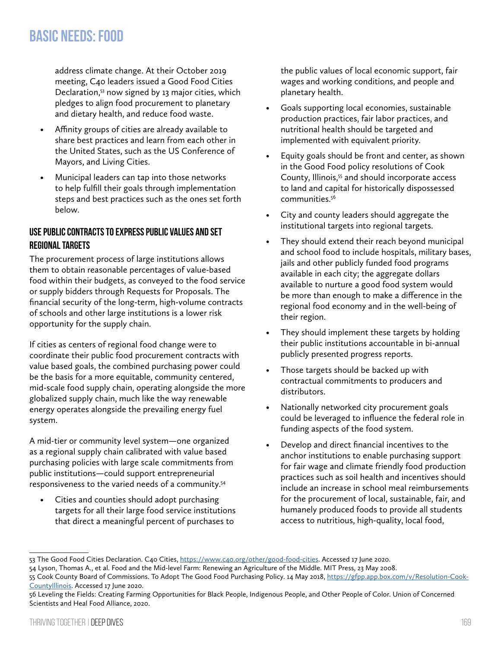address climate change. At their October 2019 meeting, C40 leaders issued a Good Food Cities Declaration,53 now signed by 13 major cities, which pledges to align food procurement to planetary and dietary health, and reduce food waste.

- Affinity groups of cities are already available to share best practices and learn from each other in the United States, such as the US Conference of Mayors, and Living Cities.
- Municipal leaders can tap into those networks to help fulfill their goals through implementation steps and best practices such as the ones set forth below.

#### **Use public contracts to express public values and set regional targets**

The procurement process of large institutions allows them to obtain reasonable percentages of value-based food within their budgets, as conveyed to the food service or supply bidders through Requests for Proposals. The financial security of the long-term, high-volume contracts of schools and other large institutions is a lower risk opportunity for the supply chain.

If cities as centers of regional food change were to coordinate their public food procurement contracts with value based goals, the combined purchasing power could be the basis for a more equitable, community centered, mid-scale food supply chain, operating alongside the more globalized supply chain, much like the way renewable energy operates alongside the prevailing energy fuel system.

A mid-tier or community level system—one organized as a regional supply chain calibrated with value based purchasing policies with large scale commitments from public institutions—could support entrepreneurial responsiveness to the varied needs of a community.54

• Cities and counties should adopt purchasing targets for all their large food service institutions that direct a meaningful percent of purchases to

the public values of local economic support, fair wages and working conditions, and people and planetary health.

- Goals supporting local economies, sustainable production practices, fair labor practices, and nutritional health should be targeted and implemented with equivalent priority.
- Equity goals should be front and center, as shown in the Good Food policy resolutions of Cook County, Illinois,<sup>55</sup> and should incorporate access to land and capital for historically dispossessed communities.56
- City and county leaders should aggregate the institutional targets into regional targets.
- They should extend their reach beyond municipal and school food to include hospitals, military bases, jails and other publicly funded food programs available in each city; the aggregate dollars available to nurture a good food system would be more than enough to make a difference in the regional food economy and in the well-being of their region.
- They should implement these targets by holding their public institutions accountable in bi-annual publicly presented progress reports.
- Those targets should be backed up with contractual commitments to producers and distributors.
- Nationally networked city procurement goals could be leveraged to influence the federal role in funding aspects of the food system.
- Develop and direct financial incentives to the anchor institutions to enable purchasing support for fair wage and climate friendly food production practices such as soil health and incentives should include an increase in school meal reimbursements for the procurement of local, sustainable, fair, and humanely produced foods to provide all students access to nutritious, high-quality, local food,

<sup>53</sup> The Good Food Cities Declaration. C40 Cities,<https://www.c40.org/other/good-food-cities>. Accessed 17 June 2020.

<sup>54</sup> Lyson, Thomas A., et al. Food and the Mid-level Farm: Renewing an Agriculture of the Middle. MIT Press, 23 May 2008.

<sup>55</sup> Cook County Board of Commissions. To Adopt The Good Food Purchasing Policy. 14 May 2018, [https://gfpp.app.box.com/v/Resolution-Cook-](https://gfpp.app.box.com/v/Resolution-CookCountyIllinois)[CountyIllinois](https://gfpp.app.box.com/v/Resolution-CookCountyIllinois). Accessed 17 June 2020.

<sup>56</sup> Leveling the Fields: Creating Farming Opportunities for Black People, Indigenous People, and Other People of Color. Union of Concerned Scientists and Heal Food Alliance, 2020.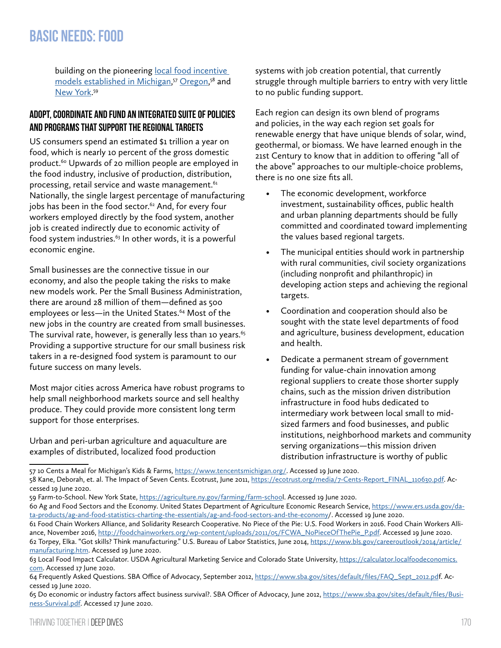building on the pioneering local food incentive [models established in Michigan](https://www.tencentsmichigan.org/), <sup>57</sup> [Oregon](https://ecotrust.org/media/7-Cents-Report_FINAL_110630.pdf), 58 and [New York.](https://agriculture.ny.gov/farming/farm-school)<sup>59</sup>

#### **Adopt, coordinate and fund an integrated suite of policies and programs that support the regional targets**

US consumers spend an estimated \$1 trillion a year on food, which is nearly 10 percent of the gross domestic product.<sup>60</sup> Upwards of 20 million people are employed in the food industry, inclusive of production, distribution, processing, retail service and waste management.<sup>61</sup> Nationally, the single largest percentage of manufacturing jobs has been in the food sector.<sup>62</sup> And, for every four workers employed directly by the food system, another job is created indirectly due to economic activity of food system industries.<sup>63</sup> In other words, it is a powerful economic engine.

Small businesses are the connective tissue in our economy, and also the people taking the risks to make new models work. Per the Small Business Administration, there are around 28 million of them—defined as 500 employees or less—in the United States.<sup>64</sup> Most of the new jobs in the country are created from small businesses. The survival rate, however, is generally less than 10 years. $65$ Providing a supportive structure for our small business risk takers in a re-designed food system is paramount to our future success on many levels.

Most major cities across America have robust programs to help small neighborhood markets source and sell healthy produce. They could provide more consistent long term support for those enterprises.

Urban and peri-urban agriculture and aquaculture are examples of distributed, localized food production

systems with job creation potential, that currently struggle through multiple barriers to entry with very little to no public funding support.

Each region can design its own blend of programs and policies, in the way each region set goals for renewable energy that have unique blends of solar, wind, geothermal, or biomass. We have learned enough in the 21st Century to know that in addition to offering "all of the above" approaches to our multiple-choice problems, there is no one size fits all.

- The economic development, workforce investment, sustainability offices, public health and urban planning departments should be fully committed and coordinated toward implementing the values based regional targets.
- The municipal entities should work in partnership with rural communities, civil society organizations (including nonprofit and philanthropic) in developing action steps and achieving the regional targets.
- Coordination and cooperation should also be sought with the state level departments of food and agriculture, business development, education and health.
- Dedicate a permanent stream of government funding for value-chain innovation among regional suppliers to create those shorter supply chains, such as the mission driven distribution infrastructure in food hubs dedicated to intermediary work between local small to midsized farmers and food businesses, and public institutions, neighborhood markets and community serving organizations—this mission driven distribution infrastructure is worthy of public

<sup>57 10</sup> Cents a Meal for Michigan's Kids & Farms, [https://www.tencentsmichigan.org/.](https://www.tencentsmichigan.org/) Accessed 19 June 2020. 58 Kane, Deborah, et. al. The Impact of Seven Cents. Ecotrust, June 2011, [https://ecotrust.org/media/7-Cents-Report\\_FINAL\\_110630.pdf.](https://ecotrust.org/media/7-Cents-Report_FINAL_110630.pdf) Accessed 19 June 2020.

<sup>59</sup> Farm-to-School. New York State,<https://agriculture.ny.gov/farming/farm-schoo>l. Accessed 19 June 2020.

<sup>60</sup> Ag and Food Sectors and the Economy. United States Department of Agriculture Economic Research Service, [https://www.ers.usda.gov/da](https://www.ers.usda.gov/data-products/ag-and-food-statistics-charting-the-essentials/ag-and-food-sectors-and-the-economy)[ta-products/ag-and-food-statistics-charting-the-essentials/ag-and-food-sectors-and-the-economy](https://www.ers.usda.gov/data-products/ag-and-food-statistics-charting-the-essentials/ag-and-food-sectors-and-the-economy)/. Accessed 19 June 2020.

<sup>61</sup> Food Chain Workers Alliance, and Solidarity Research Cooperative. No Piece of the Pie: U.S. Food Workers in 2016. Food Chain Workers Alliance, November 2016, [http://foodchainworkers.org/wp-content/uploads/2011/05/FCWA\\_NoPieceOfThePie\\_P.pdf.](http://foodchainworkers.org/wp-content/uploads/2011/05/FCWA_NoPieceOfThePie_P.pdf) Accessed 19 June 2020. 62 Torpey, Elka. "Got skills? Think manufacturing." U.S. Bureau of Labor Statistics, June 2014, [https://www.bls.gov/careeroutlook/2014/article/](https://www.bls.gov/careeroutlook/2014/article/manufacturing.htm) [manufacturing.htm.](https://www.bls.gov/careeroutlook/2014/article/manufacturing.htm) Accessed 19 June 2020.

<sup>63</sup> Local Food Impact Calculator. USDA Agricultural Marketing Service and Colorado State University, [https://calculator.localfoodeconomics.](https://calculator.localfoodeconomics.com) [com](https://calculator.localfoodeconomics.com). Accessed 17 June 2020.

<sup>64</sup> Frequently Asked Questions. SBA Office of Advocacy, September 2012, [https://www.sba.gov/sites/default/files/FAQ\\_Sept\\_2012.pd](https://www.sba.gov/sites/default/files/FAQ_Sept_2012.pd)f. Accessed 19 June 2020.

<sup>65</sup> Do economic or industry factors affect business survival?. SBA Officer of Advocacy, June 2012, [https://www.sba.gov/sites/default/files/Busi](https://www.sba.gov/sites/default/files/Business-Survival.pdf)[ness-Survival.pdf](https://www.sba.gov/sites/default/files/Business-Survival.pdf). Accessed 17 June 2020.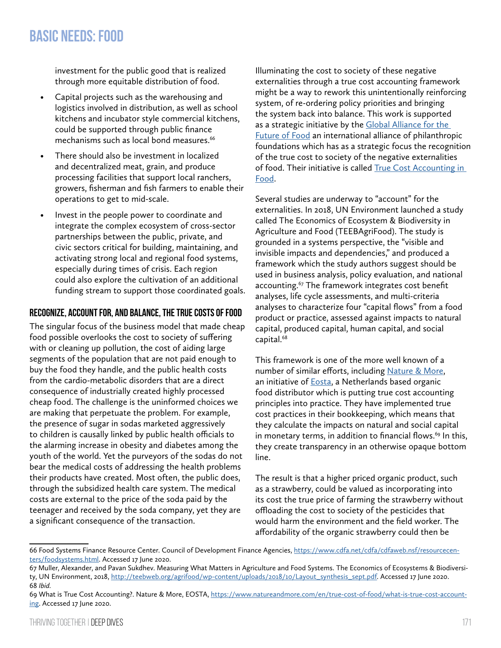investment for the public good that is realized through more equitable distribution of food.

- Capital projects such as the warehousing and logistics involved in distribution, as well as school kitchens and incubator style commercial kitchens, could be supported through public finance mechanisms such as local bond measures. $66$
- There should also be investment in localized and decentralized meat, grain, and produce processing facilities that support local ranchers, growers, fisherman and fish farmers to enable their operations to get to mid-scale.
- Invest in the people power to coordinate and integrate the complex ecosystem of cross-sector partnerships between the public, private, and civic sectors critical for building, maintaining, and activating strong local and regional food systems, especially during times of crisis. Each region could also explore the cultivation of an additional funding stream to support those coordinated goals.

#### **Recognize, account for, and balance, the true costs of food**

The singular focus of the business model that made cheap food possible overlooks the cost to society of suffering with or cleaning up pollution, the cost of aiding large segments of the population that are not paid enough to buy the food they handle, and the public health costs from the cardio-metabolic disorders that are a direct consequence of industrially created highly processed cheap food. The challenge is the uninformed choices we are making that perpetuate the problem. For example, the presence of sugar in sodas marketed aggressively to children is causally linked by public health officials to the alarming increase in obesity and diabetes among the youth of the world. Yet the purveyors of the sodas do not bear the medical costs of addressing the health problems their products have created. Most often, the public does, through the subsidized health care system. The medical costs are external to the price of the soda paid by the teenager and received by the soda company, yet they are a significant consequence of the transaction.

Illuminating the cost to society of these negative externalities through a true cost accounting framework might be a way to rework this unintentionally reinforcing system, of re-ordering policy priorities and bringing the system back into balance. This work is supported as a strategic initiative by the [Global Alliance for the](https://futureoffood.org/)  [Future of Food](https://futureoffood.org/) an international alliance of philanthropic foundations which has as a strategic focus the recognition of the true cost to society of the negative externalities of food. Their initiative is called [True Cost Accounting in](https://futureoffood.org/impact-areas/true-cost-accounting/)  [Food.](https://futureoffood.org/impact-areas/true-cost-accounting/)

Several studies are underway to "account" for the externalities. In 2018, UN Environment launched a study called The Economics of Ecosystem & Biodiversity in Agriculture and Food (TEEBAgriFood). The study is grounded in a systems perspective, the "visible and invisible impacts and dependencies," and produced a framework which the study authors suggest should be used in business analysis, policy evaluation, and national accounting.<sup>67</sup> The framework integrates cost benefit analyses, life cycle assessments, and multi-criteria analyses to characterize four "capital flows" from a food product or practice, assessed against impacts to natural capital, produced capital, human capital, and social capital.68

This framework is one of the more well known of a number of similar efforts, including [Nature & More,](https://www.natureandmore.com/en/true-cost-of-food/what-is-true-cost-accounting) an initiative of **Eosta**, a Netherlands based organic food distributor which is putting true cost accounting principles into practice. They have implemented true cost practices in their bookkeeping, which means that they calculate the impacts on natural and social capital in monetary terms, in addition to financial flows.<sup>69</sup> In this, they create transparency in an otherwise opaque bottom line.

The result is that a higher priced organic product, such as a strawberry, could be valued as incorporating into its cost the true price of farming the strawberry without offloading the cost to society of the pesticides that would harm the environment and the field worker. The affordability of the organic strawberry could then be

<sup>66</sup> Food Systems Finance Resource Center. Council of Development Finance Agencies, [https://www.cdfa.net/cdfa/cdfaweb.nsf/resourcecen](https://www.cdfa.net/cdfa/cdfaweb.nsf/resourcecenters/foodsystems.html)[ters/foodsystems.html.](https://www.cdfa.net/cdfa/cdfaweb.nsf/resourcecenters/foodsystems.html) Accessed 17 June 2020.

<sup>67</sup> Muller, Alexander, and Pavan Sukdhev. Measuring What Matters in Agriculture and Food Systems. The Economics of Ecosystems & Biodiversity, UN Environment, 2018, [http://teebweb.org/agrifood/wp-content/uploads/2018/10/Layout\\_synthesis\\_sept.pdf.](http://teebweb.org/agrifood/wp-content/uploads/2018/10/Layout_synthesis_sept.pdf) Accessed 17 June 2020. 68 *Ibid.*

<sup>69</sup> What is True Cost Accounting?. Nature & More, EOSTA, [https://www.natureandmore.com/en/true-cost-of-food/what-is-true-cost-account](https://www.natureandmore.com/en/true-cost-of-food/what-is-true-cost-accounting)[ing](https://www.natureandmore.com/en/true-cost-of-food/what-is-true-cost-accounting). Accessed 17 June 2020.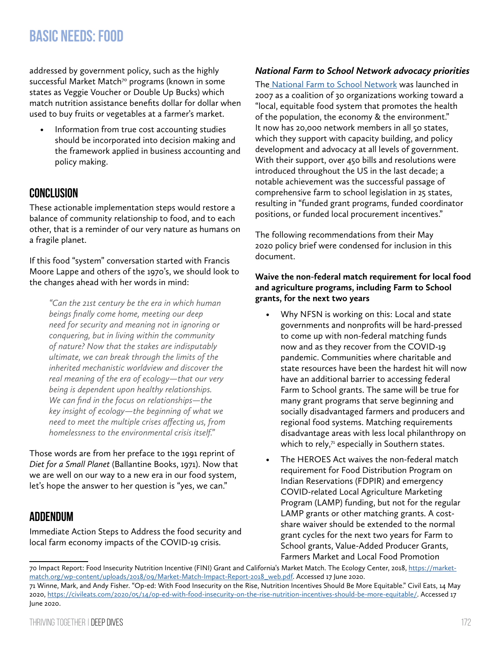addressed by government policy, such as the highly successful Market Match<sup>70</sup> programs (known in some states as Veggie Voucher or Double Up Bucks) which match nutrition assistance benefits dollar for dollar when used to buy fruits or vegetables at a farmer's market.

• Information from true cost accounting studies should be incorporated into decision making and the framework applied in business accounting and policy making.

## **Conclusion**

These actionable implementation steps would restore a balance of community relationship to food, and to each other, that is a reminder of our very nature as humans on a fragile planet.

If this food "system" conversation started with Francis Moore Lappe and others of the 1970's, we should look to the changes ahead with her words in mind:

*"Can the 21st century be the era in which human beings finally come home, meeting our deep need for security and meaning not in ignoring or conquering, but in living within the community of nature? Now that the stakes are indisputably ultimate, we can break through the limits of the inherited mechanistic worldview and discover the real meaning of the era of ecology—that our very being is dependent upon healthy relationships. We can find in the focus on relationships—the key insight of ecology—the beginning of what we need to meet the multiple crises affecting us, from homelessness to the environmental crisis itself."*

Those words are from her preface to the 1991 reprint of *Diet for a Small Planet* (Ballantine Books, 1971). Now that we are well on our way to a new era in our food system, let's hope the answer to her question is "yes, we can."

## **Addendum**

Immediate Action Steps to Address the food security and local farm economy impacts of the COVID-19 crisis.

#### *National Farm to School Network advocacy priorities*

The [National Farm to School Network](http://www.farmtoschool.org/) was launched in 2007 as a coalition of 30 organizations working toward a "local, equitable food system that promotes the health of the population, the economy & the environment." It now has 20,000 network members in all 50 states, which they support with capacity building, and policy development and advocacy at all levels of government. With their support, over 450 bills and resolutions were introduced throughout the US in the last decade; a notable achievement was the successful passage of comprehensive farm to school legislation in 25 states, resulting in "funded grant programs, funded coordinator positions, or funded local procurement incentives."

The following recommendations from their May 2020 policy brief were condensed for inclusion in this document.

#### **Waive the non-federal match requirement for local food and agriculture programs, including Farm to School grants, for the next two years**

- Why NFSN is working on this: Local and state governments and nonprofits will be hard-pressed to come up with non-federal matching funds now and as they recover from the COVID-19 pandemic. Communities where charitable and state resources have been the hardest hit will now have an additional barrier to accessing federal Farm to School grants. The same will be true for many grant programs that serve beginning and socially disadvantaged farmers and producers and regional food systems. Matching requirements disadvantage areas with less local philanthropy on which to rely, $71$  especially in Southern states.
- The HEROES Act waives the non-federal match requirement for Food Distribution Program on Indian Reservations (FDPIR) and emergency COVID-related Local Agriculture Marketing Program (LAMP) funding, but not for the regular LAMP grants or other matching grants. A costshare waiver should be extended to the normal grant cycles for the next two years for Farm to School grants, Value-Added Producer Grants, Farmers Market and Local Food Promotion

<sup>70</sup> Impact Report: Food Insecurity Nutrition Incentive (FINI) Grant and California's Market Match. The Ecology Center, 2018, [https://market](https://marketmatch.org/wp-content/uploads/2018/09/Market-Match-Impact-Report-2018_web.pdf)[match.org/wp-content/uploads/2018/09/Market-Match-Impact-Report-2018\\_web.pdf.](https://marketmatch.org/wp-content/uploads/2018/09/Market-Match-Impact-Report-2018_web.pdf) Accessed 17 June 2020. 71 Winne, Mark, and Andy Fisher. "Op-ed: With Food Insecurity on the Rise, Nutrition Incentives Should Be More Equitable." Civil Eats, 14 May 2020, [https://civileats.com/2020/05/14/op-ed-with-food-insecurity-on-the-rise-nutrition-incentives-should-be-more-equitable/.](https://civileats.com/2020/05/14/op-ed-with-food-insecurity-on-the-rise-nutrition-incentives-should-be-more-equitable/) Accessed 17 June 2020.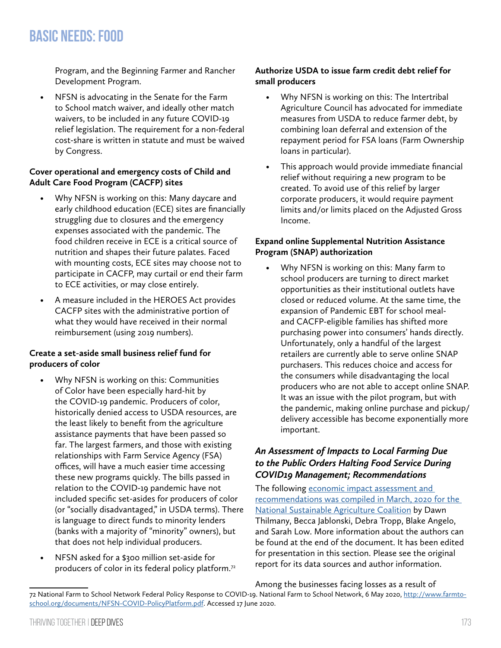Program, and the Beginning Farmer and Rancher Development Program.

• NFSN is advocating in the Senate for the Farm to School match waiver, and ideally other match waivers, to be included in any future COVID-19 relief legislation. The requirement for a non-federal cost-share is written in statute and must be waived by Congress.

#### **Cover operational and emergency costs of Child and Adult Care Food Program (CACFP) sites**

- Why NFSN is working on this: Many daycare and early childhood education (ECE) sites are financially struggling due to closures and the emergency expenses associated with the pandemic. The food children receive in ECE is a critical source of nutrition and shapes their future palates. Faced with mounting costs, ECE sites may choose not to participate in CACFP, may curtail or end their farm to ECE activities, or may close entirely.
- A measure included in the HEROES Act provides CACFP sites with the administrative portion of what they would have received in their normal reimbursement (using 2019 numbers).

#### **Create a set-aside small business relief fund for producers of color**

- Why NFSN is working on this: Communities of Color have been especially hard-hit by the COVID-19 pandemic. Producers of color, historically denied access to USDA resources, are the least likely to benefit from the agriculture assistance payments that have been passed so far. The largest farmers, and those with existing relationships with Farm Service Agency (FSA) offices, will have a much easier time accessing these new programs quickly. The bills passed in relation to the COVID-19 pandemic have not included specific set-asides for producers of color (or "socially disadvantaged," in USDA terms). There is language to direct funds to minority lenders (banks with a majority of "minority" owners), but that does not help individual producers.
- NFSN asked for a \$300 million set-aside for producers of color in its federal policy platform.72

#### **Authorize USDA to issue farm credit debt relief for small producers**

- Why NFSN is working on this: The Intertribal Agriculture Council has advocated for immediate measures from USDA to reduce farmer debt, by combining loan deferral and extension of the repayment period for FSA loans (Farm Ownership loans in particular).
- This approach would provide immediate financial relief without requiring a new program to be created. To avoid use of this relief by larger corporate producers, it would require payment limits and/or limits placed on the Adjusted Gross Income.

#### **Expand online Supplemental Nutrition Assistance Program (SNAP) authorization**

• Why NFSN is working on this: Many farm to school producers are turning to direct market opportunities as their institutional outlets have closed or reduced volume. At the same time, the expansion of Pandemic EBT for school mealand CACFP-eligible families has shifted more purchasing power into consumers' hands directly. Unfortunately, only a handful of the largest retailers are currently able to serve online SNAP purchasers. This reduces choice and access for the consumers while disadvantaging the local producers who are not able to accept online SNAP. It was an issue with the pilot program, but with the pandemic, making online purchase and pickup/ delivery accessible has become exponentially more important.

#### *An Assessment of Impacts to Local Farming Due to the Public Orders Halting Food Service During COVID19 Management; Recommendations*

The following economic impact assessment and [recommendations was compiled in March, 2020 for the](https://sustainableagriculture.net/blog/covid-economic-impact-local-food/)  [National Sustainable Agriculture Coalition](https://sustainableagriculture.net/blog/covid-economic-impact-local-food/) by Dawn Thilmany, Becca Jablonski, Debra Tropp, Blake Angelo, and Sarah Low. More information about the authors can be found at the end of the document. It has been edited for presentation in this section. Please see the original report for its data sources and author information.

### Among the businesses facing losses as a result of

<sup>72</sup> National Farm to School Network Federal Policy Response to COVID-19. National Farm to School Network, 6 May 2020, [http://www.farmto](http://www.farmtoschool.org/documents/NFSN-COVID-PolicyPlatform.pdf)[school.org/documents/NFSN-COVID-PolicyPlatform.pdf.](http://www.farmtoschool.org/documents/NFSN-COVID-PolicyPlatform.pdf) Accessed 17 June 2020.